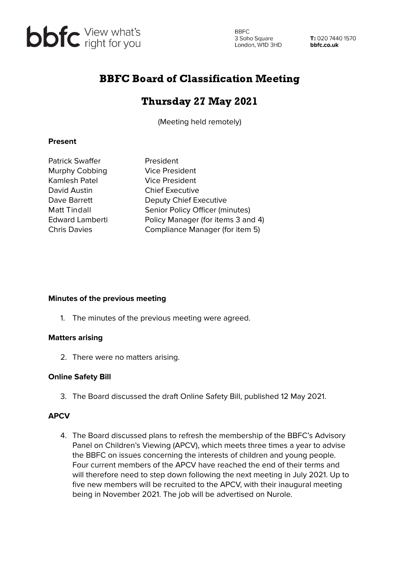

**BBFC** 3 Soho Square<br>London, W1D 3HD 3 Soho Square

T: 020 7440 1570 bbfc.co.uk

# BBFC Board of Classification Meeting

## Thursday 27 May 2021

(Meeting held remotely)

#### **Present**

| Patrick Swaffer     |  |
|---------------------|--|
| Murphy Cobbing      |  |
| Kamlesh Patel       |  |
| David Austin        |  |
| Dave Barrett        |  |
| Matt Tindall        |  |
| Edward Lamberti     |  |
| <b>Chris Davies</b> |  |

President Vice President **Vice President Chief Executive** Deputy Chief Executive Senior Policy Officer (minutes) Policy Manager (for items 3 and 4) Compliance Manager (for item 5)

#### **Minutes of the previous meeting**

1. The minutes of the previous meeting were agreed.

#### **Matters arising**

2. There were no matters arising.

### **Online Safety Bill**

3. The Board discussed the draft Online Safety Bill, published 12 May 2021.

### **APCV**

4. The Board discussed plans to refresh the membership of the BBFC's Advisory Panel on Children's Viewing (APCV), which meets three times a year to advise the BBFC on issues concerning the interests of children and young people. Four current members of the APCV have reached the end of their terms and will therefore need to step down following the next meeting in July 2021. Up to five new members will be recruited to the APCV, with their inaugural meeting being in November 2021. The job will be advertised on Nurole.